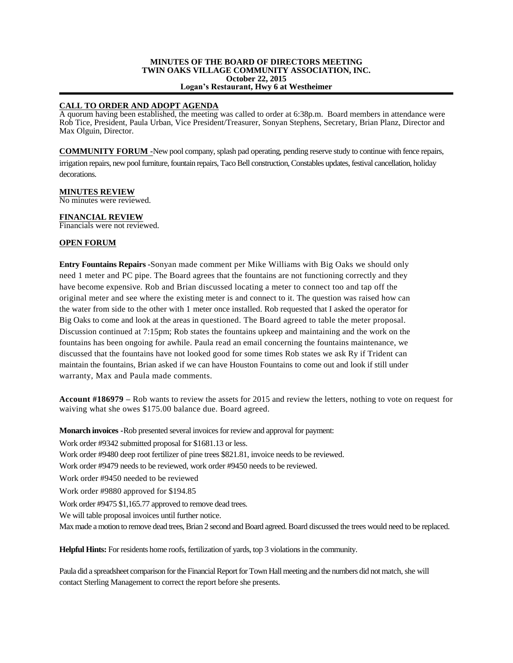#### **MINUTES OF THE BOARD OF DIRECTORS MEETING TWIN OAKS VILLAGE COMMUNITY ASSOCIATION, INC. October 22, 2015 Logan's Restaurant, Hwy 6 at Westheimer**

## **CALL TO ORDER AND ADOPT AGENDA**

A quorum having been established, the meeting was called to order at 6:38p.m. Board members in attendance were Rob Tice, President, Paula Urban, Vice President/Treasurer, Sonyan Stephens, Secretary, Brian Planz, Director and Max Olguin, Director.

**COMMUNITY FORUM -**New pool company, splash pad operating, pending reserve study to continue with fence repairs, irrigation repairs, new pool furniture, fountain repairs, Taco Bell construction, Constables updates, festival cancellation, holiday decorations.

#### **MINUTES REVIEW** No minutes were reviewed.

**FINANCIAL REVIEW**

Financials were not reviewed.

# **OPEN FORUM**

**Entry Fountains Repairs -**Sonyan made comment per Mike Williams with Big Oaks we should only need 1 meter and PC pipe. The Board agrees that the fountains are not functioning correctly and they have become expensive. Rob and Brian discussed locating a meter to connect too and tap off the original meter and see where the existing meter is and connect to it. The question was raised how can the water from side to the other with 1 meter once installed. Rob requested that I asked the operator for Big Oaks to come and look at the areas in questioned. The Board agreed to table the meter proposal. Discussion continued at 7:15pm; Rob states the fountains upkeep and maintaining and the work on the fountains has been ongoing for awhile. Paula read an email concerning the fountains maintenance, we discussed that the fountains have not looked good for some times Rob states we ask Ry if Trident can maintain the fountains, Brian asked if we can have Houston Fountains to come out and look if still under warranty, Max and Paula made comments.

**Account #186979 –** Rob wants to review the assets for 2015 and review the letters, nothing to vote on request for waiving what she owes \$175.00 balance due. Board agreed.

**Monarch invoices -**Rob presented several invoices for review and approval for payment:

Work order #9342 submitted proposal for \$1681.13 or less.

Work order #9480 deep root fertilizer of pine trees \$821.81, invoice needs to be reviewed.

Work order #9479 needs to be reviewed, work order #9450 needs to be reviewed.

Work order #9450 needed to be reviewed

Work order #9880 approved for \$194.85

Work order #9475 \$1,165.77 approved to remove dead trees.

We will table proposal invoices until further notice.

Max made a motion to remove dead trees, Brian 2 second and Board agreed. Board discussed the trees would need to be replaced.

**Helpful Hints:** For residents home roofs, fertilization of yards, top 3 violations in the community.

Paula did a spreadsheet comparison for the Financial Report for Town Hall meeting and the numbers did not match, she will contact Sterling Management to correct the report before she presents.